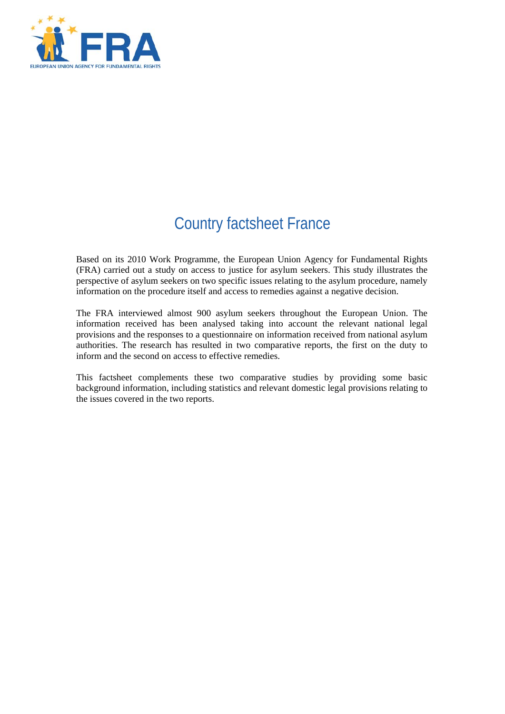

# Country factsheet France

Based on its 2010 Work Programme, the European Union Agency for Fundamental Rights (FRA) carried out a study on access to justice for asylum seekers. This study illustrates the perspective of asylum seekers on two specific issues relating to the asylum procedure, namely information on the procedure itself and access to remedies against a negative decision.

The FRA interviewed almost 900 asylum seekers throughout the European Union. The information received has been analysed taking into account the relevant national legal provisions and the responses to a questionnaire on information received from national asylum authorities. The research has resulted in two comparative reports, the first on the duty to inform and the second on access to effective remedies.

This factsheet complements these two comparative studies by providing some basic background information, including statistics and relevant domestic legal provisions relating to the issues covered in the two reports.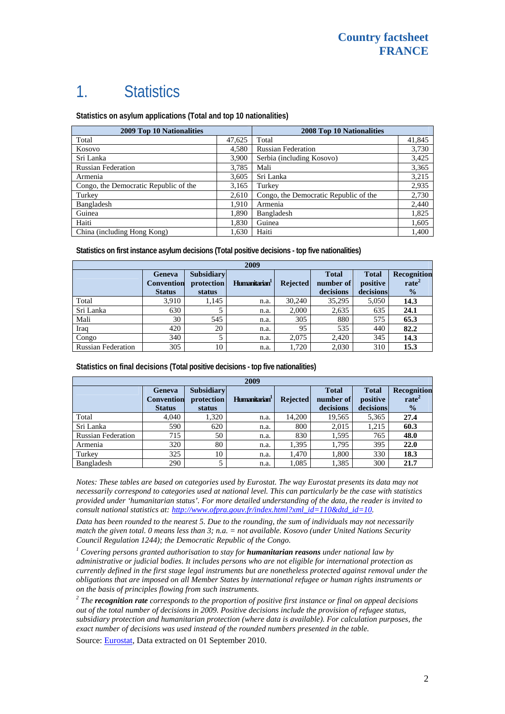# 1. Statistics

**Statistics on asylum applications (Total and top 10 nationalities)**

| 2009 Top 10 Nationalities             |        | 2008 Top 10 Nationalities             |        |  |
|---------------------------------------|--------|---------------------------------------|--------|--|
| Total                                 | 47,625 | Total                                 | 41,845 |  |
| Kosovo                                | 4,580  | <b>Russian Federation</b>             | 3,730  |  |
| Sri Lanka                             | 3,900  | Serbia (including Kosovo)             | 3,425  |  |
| <b>Russian Federation</b>             | 3,785  | Mali                                  | 3,365  |  |
| Armenia                               | 3,605  | Sri Lanka                             | 3,215  |  |
| Congo, the Democratic Republic of the | 3,165  | Turkey                                | 2,935  |  |
| Turkey                                | 2,610  | Congo, the Democratic Republic of the | 2,730  |  |
| Bangladesh                            | 1.910  | Armenia                               | 2,440  |  |
| Guinea                                | 1,890  | Bangladesh                            | 1,825  |  |
| Haiti                                 | 1,830  | Guinea                                | 1,605  |  |
| China (including Hong Kong)           | 1,630  | Haiti                                 | 1,400  |  |

**Statistics on first instance asylum decisions (Total positive decisions - top five nationalities)**

| 2009                      |                                                     |                                           |                           |                 |                                        |                                       |                                                   |
|---------------------------|-----------------------------------------------------|-------------------------------------------|---------------------------|-----------------|----------------------------------------|---------------------------------------|---------------------------------------------------|
|                           | <b>Geneva</b><br><b>Convention</b><br><b>Status</b> | <b>Subsidiary</b><br>protection<br>status | Humanitarian <sup>1</sup> | <b>Rejected</b> | <b>Total</b><br>number of<br>decisions | <b>Total</b><br>positive<br>decisions | Recognition<br>rate <sup>2</sup><br>$\frac{0}{2}$ |
| Total                     | 3.910                                               | 1.145                                     | n.a.                      | 30,240          | 35.295                                 | 5,050                                 | 14.3                                              |
| Sri Lanka                 | 630                                                 |                                           | n.a.                      | 2,000           | 2,635                                  | 635                                   | 24.1                                              |
| Mali                      | 30                                                  | 545                                       | n.a.                      | 305             | 880                                    | 575                                   | 65.3                                              |
| Iraq                      | 420                                                 | 20                                        | n.a.                      | 95              | 535                                    | 440                                   | 82.2                                              |
| Congo                     | 340                                                 |                                           | n.a.                      | 2,075           | 2,420                                  | 345                                   | 14.3                                              |
| <b>Russian Federation</b> | 305                                                 | 10                                        | n.a.                      | 1,720           | 2,030                                  | 310                                   | 15.3                                              |

**Statistics on final decisions (Total positive decisions - top five nationalities)** 

| 2009                      |                                                     |                                           |                           |                 |                                        |                                       |                                                   |
|---------------------------|-----------------------------------------------------|-------------------------------------------|---------------------------|-----------------|----------------------------------------|---------------------------------------|---------------------------------------------------|
|                           | <b>Geneva</b><br><b>Convention</b><br><b>Status</b> | <b>Subsidiary</b><br>protection<br>status | Humanitarian <sup>1</sup> | <b>Rejected</b> | <b>Total</b><br>number of<br>decisions | <b>Total</b><br>positive<br>decisions | Recognition<br>rate <sup>2</sup><br>$\frac{0}{0}$ |
| Total                     | 4.040                                               | 1.320                                     | n.a.                      | 14.200          | 19,565                                 | 5,365                                 | 27.4                                              |
| Sri Lanka                 | 590                                                 | 620                                       | n.a.                      | 800             | 2,015                                  | 1,215                                 | 60.3                                              |
| <b>Russian Federation</b> | 715                                                 | 50                                        | n.a.                      | 830             | 1,595                                  | 765                                   | 48.0                                              |
| Armenia                   | 320                                                 | 80                                        | n.a.                      | 1,395           | 1,795                                  | 395                                   | 22.0                                              |
| Turkey                    | 325                                                 | 10                                        | n.a.                      | 1,470           | 1,800                                  | 330                                   | 18.3                                              |
| Bangladesh                | 290                                                 |                                           | n.a.                      | 1,085           | 1,385                                  | 300                                   | 21.7                                              |

*Notes: These tables are based on categories used by Eurostat. The way Eurostat presents its data may not necessarily correspond to categories used at national level. This can particularly be the case with statistics provided under 'humanitarian status'. For more detailed understanding of the data, the reader is invited to consult national statistics at: [http://www.ofpra.gouv.fr/index.html?xml\\_id=110&dtd\\_id=10.](http://www.ofpra.gouv.fr/index.html?xml_id=110&dtd_id=10)*

*Data has been rounded to the nearest 5. Due to the rounding, the sum of individuals may not necessarily match the given total. 0 means less than 3; n.a. = not available. Kosovo (under United Nations Security Council Regulation 1244); the Democratic Republic of the Congo.* 

<sup>1</sup> Covering persons granted authorisation to stay for **humanitarian reasons** under national law by *administrative or judicial bodies. It includes persons who are not eligible for international protection as currently defined in the first stage legal instruments but are nonetheless protected against removal under the obligations that are imposed on all Member States by international refugee or human rights instruments or on the basis of principles flowing from such instruments.* 

*2 The recognition rate corresponds to the proportion of positive first instance or final on appeal decisions out of the total number of decisions in 2009. Positive decisions include the provision of refugee status, subsidiary protection and humanitarian protection (where data is available). For calculation purposes, the exact number of decisions was used instead of the rounded numbers presented in the table.* 

Source: [Eurostat](http://epp.eurostat.ec.europa.eu/), Data extracted on 01 September 2010.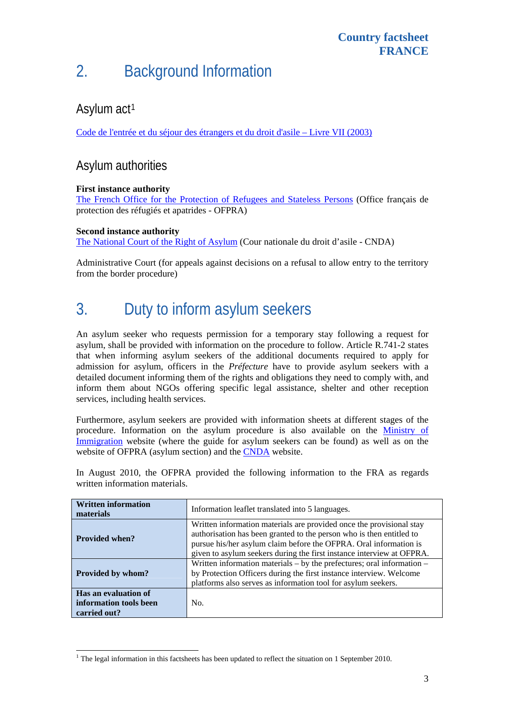# 2. Background Information

### Asylum act<sup>[1](#page-2-0)</sup>

[Code de l'entrée et du séjour des étrangers et du droit d'asile – Livre VII \(2003\)](http://www.legifrance.gouv.fr/affichCode.do?cidTexte=LEGITEXT000006070158&dateTexte=20100201)

#### Asylum authorities

#### **First instance authority**

[The French Office for the Protection of Refugees and Stateless Persons](http://www.ofpra.gouv.fr/) (Office français de protection des réfugiés et apatrides - OFPRA)

#### **Second instance authority**

l

[The National Court of the Right of Asylum](http://www.commission-refugies.fr/) (Cour nationale du droit d'asile - CNDA)

Administrative Court (for appeals against decisions on a refusal to allow entry to the territory from the border procedure)

## 3. Duty to inform asylum seekers

An asylum seeker who requests permission for a temporary stay following a request for asylum, shall be provided with information on the procedure to follow. Article R.741-2 states that when informing asylum seekers of the additional documents required to apply for admission for asylum, officers in the *Préfecture* have to provide asylum seekers with a detailed document informing them of the rights and obligations they need to comply with, and inform them about NGOs offering specific legal assistance, shelter and other reception services, including health services.

Furthermore, asylum seekers are provided with information sheets at different stages of the procedure. Information on the asylum procedure is also available on the **Ministry of** [Immigration](http://www.immigration.gouv.fr/spip.php?page=dossiers_det_asi&numrubrique=361&numarticle=1693) website (where the guide for asylum seekers can be found) as well as on the website of OFPRA (asylum section) and the [CNDA](http://www.commission-refugies.fr/) website.

In August 2010, the OFPRA provided the following information to the FRA as regards written information materials.

| <b>Written information</b><br>materials                        | Information leaflet translated into 5 languages.                                                                                                                                                                                                                                           |  |  |  |
|----------------------------------------------------------------|--------------------------------------------------------------------------------------------------------------------------------------------------------------------------------------------------------------------------------------------------------------------------------------------|--|--|--|
| <b>Provided when?</b>                                          | Written information materials are provided once the provisional stay<br>authorisation has been granted to the person who is then entitled to<br>pursue his/her asylum claim before the OFPRA. Oral information is<br>given to asylum seekers during the first instance interview at OFPRA. |  |  |  |
| Provided by whom?                                              | Written information materials $-$ by the prefectures; oral information $-$<br>by Protection Officers during the first instance interview. Welcome<br>platforms also serves as information tool for asylum seekers.                                                                         |  |  |  |
| Has an evaluation of<br>information tools been<br>carried out? | No.                                                                                                                                                                                                                                                                                        |  |  |  |

<span id="page-2-0"></span><sup>&</sup>lt;sup>1</sup> The legal information in this factsheets has been updated to reflect the situation on 1 September 2010.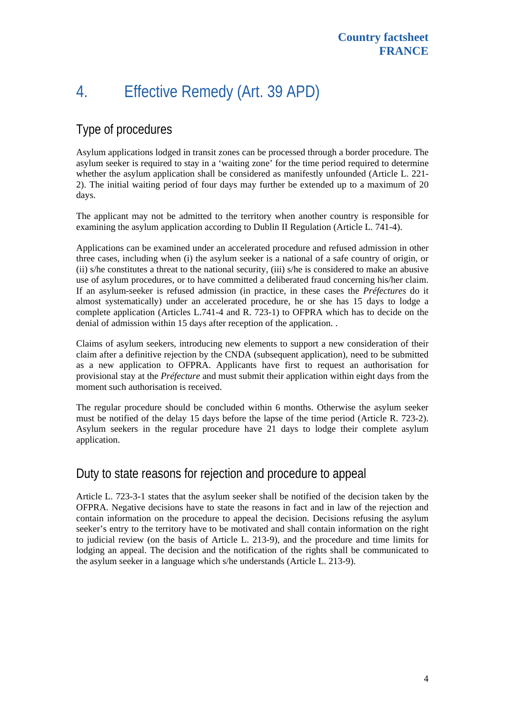# 4. Effective Remedy (Art. 39 APD)

### Type of procedures

Asylum applications lodged in transit zones can be processed through a border procedure. The asylum seeker is required to stay in a 'waiting zone' for the time period required to determine whether the asylum application shall be considered as manifestly unfounded (Article L. 221- 2). The initial waiting period of four days may further be extended up to a maximum of 20 days.

The applicant may not be admitted to the territory when another country is responsible for examining the asylum application according to Dublin II Regulation (Article L. 741-4).

Applications can be examined under an accelerated procedure and refused admission in other three cases, including when (i) the asylum seeker is a national of a safe country of origin, or (ii) s/he constitutes a threat to the national security, (iii) s/he is considered to make an abusive use of asylum procedures, or to have committed a deliberated fraud concerning his/her claim. If an asylum-seeker is refused admission (in practice, in these cases the *Préfectures* do it almost systematically) under an accelerated procedure, he or she has 15 days to lodge a complete application (Articles L.741-4 and R. 723-1) to OFPRA which has to decide on the denial of admission within 15 days after reception of the application. .

Claims of asylum seekers, introducing new elements to support a new consideration of their claim after a definitive rejection by the CNDA (subsequent application), need to be submitted as a new application to OFPRA. Applicants have first to request an authorisation for provisional stay at the *Préfecture* and must submit their application within eight days from the moment such authorisation is received.

The regular procedure should be concluded within 6 months. Otherwise the asylum seeker must be notified of the delay 15 days before the lapse of the time period (Article R. 723-2). Asylum seekers in the regular procedure have 21 days to lodge their complete asylum application.

#### Duty to state reasons for rejection and procedure to appeal

Article L. 723-3-1 states that the asylum seeker shall be notified of the decision taken by the OFPRA. Negative decisions have to state the reasons in fact and in law of the rejection and contain information on the procedure to appeal the decision. Decisions refusing the asylum seeker's entry to the territory have to be motivated and shall contain information on the right to judicial review (on the basis of Article L. 213-9), and the procedure and time limits for lodging an appeal. The decision and the notification of the rights shall be communicated to the asylum seeker in a language which s/he understands (Article L. 213-9).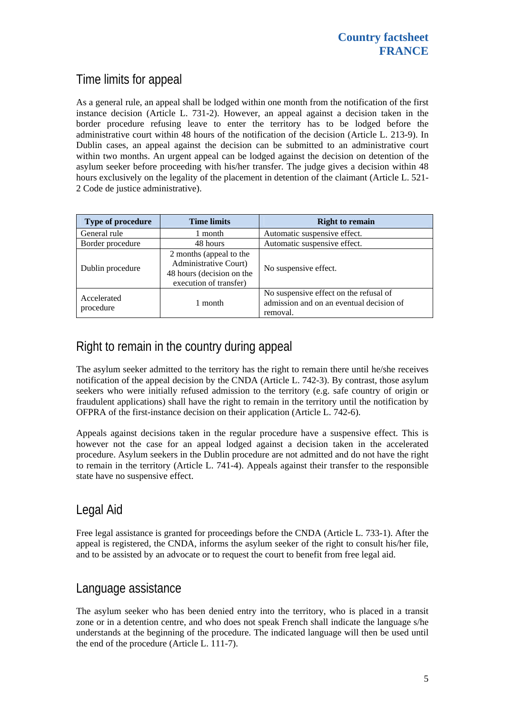## Time limits for appeal

As a general rule, an appeal shall be lodged within one month from the notification of the first instance decision (Article L. 731-2). However, an appeal against a decision taken in the border procedure refusing leave to enter the territory has to be lodged before the administrative court within 48 hours of the notification of the decision (Article L. 213-9). In Dublin cases, an appeal against the decision can be submitted to an administrative court within two months. An urgent appeal can be lodged against the decision on detention of the asylum seeker before proceeding with his/her transfer. The judge gives a decision within 48 hours exclusively on the legality of the placement in detention of the claimant (Article L. 521- 2 Code de justice administrative).

| Type of procedure        | <b>Time limits</b>                                                                                             | <b>Right to remain</b>                                                                         |
|--------------------------|----------------------------------------------------------------------------------------------------------------|------------------------------------------------------------------------------------------------|
| General rule             | 1 month                                                                                                        | Automatic suspensive effect.                                                                   |
| Border procedure         | 48 hours                                                                                                       | Automatic suspensive effect.                                                                   |
| Dublin procedure         | 2 months (appeal to the<br><b>Administrative Court)</b><br>48 hours (decision on the<br>execution of transfer) | No suspensive effect.                                                                          |
| Accelerated<br>procedure | 1 month                                                                                                        | No suspensive effect on the refusal of<br>admission and on an eventual decision of<br>removal. |

## Right to remain in the country during appeal

The asylum seeker admitted to the territory has the right to remain there until he/she receives notification of the appeal decision by the CNDA (Article L. 742-3). By contrast, those asylum seekers who were initially refused admission to the territory (e.g. safe country of origin or fraudulent applications) shall have the right to remain in the territory until the notification by OFPRA of the first-instance decision on their application (Article L. 742-6).

Appeals against decisions taken in the regular procedure have a suspensive effect. This is however not the case for an appeal lodged against a decision taken in the accelerated procedure. Asylum seekers in the Dublin procedure are not admitted and do not have the right to remain in the territory (Article L. 741-4). Appeals against their transfer to the responsible state have no suspensive effect.

### Legal Aid

Free legal assistance is granted for proceedings before the CNDA (Article L. 733-1). After the appeal is registered, the CNDA, informs the asylum seeker of the right to consult his/her file, and to be assisted by an advocate or to request the court to benefit from free legal aid.

#### Language assistance

The asylum seeker who has been denied entry into the territory, who is placed in a transit zone or in a detention centre, and who does not speak French shall indicate the language s/he understands at the beginning of the procedure. The indicated language will then be used until the end of the procedure (Article L. 111-7).